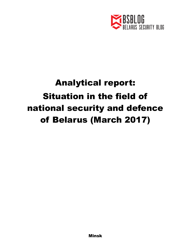

## Analytical report: Situation in the field of national security and defence of Belarus (March 2017)

Minsk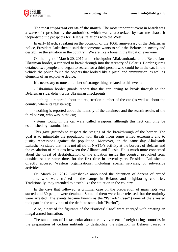

**The most important events of the month.** The most important event in March was a wave of repression by the authorities, which was characterized by extreme chaos. It jeopardized the prospects for Belarus' relations with the West.

In early March, speaking on the occasion of the 100th anniversary of the Belarusian police, President Lukashenka said that someone wants to split the Belarusian society and destabilize the situation in the country: "We are like a bone in the throat of everyone".

On the night of March 20, 2017 at the checkpoint Aliaksandrauka at the Belarusian-Ukrainian border, a car tried to break through into the territory of Belarus. Border guards detained two people and began to search for a third person who could be in the car. In the vehicle the police found the objects that looked like a pistol and ammunition, as well as elements of an explosive device.

It's necessary to note a number of strange things related to this event:

- Ukrainian border guards report that the car, trying to break through to the Belarusian side, didn't cross Ukrainian checkpoints;

- nothing is reported about the registration number of the car (as well as about the country where its registered);

- nothing is reported about the identity of the detainees and the search results of the third person, who was in the car;

- items found in the car were called weapons, although this fact can only be established by examination.

This gave grounds to suspect the staging of the breakthrough of the border. The goal is to intimidate the population with threats from some armed extremists and to justify repressions against the population. Moreover, on the same day Aliaksandr Lukashenka stated that he is not afraid of NATO's activity at the borders of Belarus and the escalation of relations between the Alliance and Russia. He is much more concerned about the threat of destabilization of the situation inside the country, provoked from outside. At the same time, for the first time in several years President Lukashenka directly accused Western organizations, including special services, of subversive activities.

On March 21, 2017 Lukashenka announced the detention of dozens of armed militants who were trained in the camps in Belarus and neighboring countries. Traditionally, they intended to destabilize the situation in the country.

In the days that followed, a criminal case on the preparation of mass riots was started and 30 people were detained. Some of them were later released, but the majority were arrested. The events became known as the "Patriots' Case" (some of the arrested took part in the activities of the de facto state club "Patriot").

Also, a part of the figurants of the "Patriots' Case" were charged with creating an illegal armed formation.

The statements of Lukashenka about the involvement of neighboring countries in the preparation of certain militants to destabilize the situation in Belarus caused a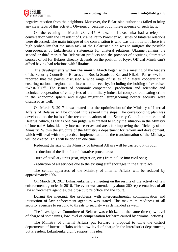

negative reaction from the neighbors. Moreover, the Belarusian authorities failed to bring any clear facts of this activity. Obviously, because of complete absence of such facts.

On the evening of March 23, 2017 Aliaksandr Lukashenka had a telephone conversation with the President of Ukraine Petro Poroshenko. Issues of bilateral relations were discussed. The main intrigue of the conversation is who was the initiator. There is a high probability that the main task of the Belarusian side was to mitigate the possible consequences of Lukashenka's statements for bilateral relations. Ukraine remains the second or third market for Belarusian products and the prospect of acquiring alternative sources of oil for Belarus directly depends on the position of Kyiv. Official Minsk can't afford having bad relations with Ukraine.

**The developments within the month.** March began with a meeting of the leaders of the Security Councils of Belarus and Russia Stanislau Zas and Nikolai Patrushev. It is reported that the parties discussed a wide range of issues of bilateral cooperation in ensuring national, regional and international security, including the holding of exercises "West-2017". The issues of economic cooperation, production and scientific and technical cooperation of enterprises of the military industrial complex, combating crime in the economic sphere and illegal migration, strengthening border security were discussed as well.

On March 5, 2017 it was stated that the optimization of the Ministry of Internal Affairs of Belarus will be divided into several time steps. The corresponding plan was developed on the basis of the recommendations of the Security Council commission of Belarus, which, as far as one can judge, was created to study the situation in the Ministry of Internal Affairs, identify internal reserves and areas for improving the efficiency of the Ministry. Within the structure of the Ministry a department for reform and development, which will deal with the practical implementation of the transformation of the Ministry, will be created. This will be done in due time.

Reducing the size of the Ministry of Internal Affairs will be carried out through:

- reduction of the list of administrative procedures;

- turn of auxiliary units (rear, migration, etc.) from police into civil ones;
- reduction of all services due to the existing staff shortages in the first place.

The central apparatus of the Ministry of Internal Affairs will be reduced by approximately 10%.

On March 10, 2017 Lukashenka held a meeting on the results of the activity of law enforcement agencies in 2016. The event was attended by about 260 representatives of all law enforcement agencies, the prosecutor's office and the court.

During the meeting, the problems with interdepartmental communication and interaction of law enforcement agencies was stated. The maximum readiness of all security agencies to respond to threats to security was demanded as well.

The Investigative Committee of Belarus was criticized at the same time (low level of charge of some units, low level of compensation for harm caused by criminal actions).

The Ministry of Internal Affairs put forward a proposal to unite the district departments of internal affairs with a low level of charge in the interdistrict departments, but President Lukashenka didn't support this idea.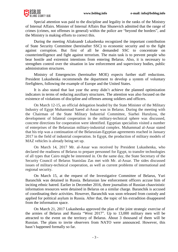

Special attention was paid to the discipline and legality in the ranks of the Ministry of Internal Affairs. Minister of Internal Affairs Ihar Shunevich admitted that the range of crimes (crimes, not offenses in general) within the police are "beyond the borders", and the Ministry is making efforts to correct this.

During the meeting Aliaksandr Lukashenka recognized the important contribution of State Security Committee (hereinafter SSC) to economic security and to the fight against corruption. But first of all he demanded SSC to concentrate on counterintelligence and fight against terrorism. The main task is to prevent people who bear hostile and extremist intentions from entering Belarus. Also, it is necessary to strengthen control over the situation in law enforcement and supervisory bodies, public administration structures.

Ministry of Emergencies (hereinafter MOE) expects further staff reductions. President Lukashenka recommends the department to develop a system of voluntary firefighters, following the example of Europe and the United States.

It is also stated that last year the army didn't achieve the planned optimization indicators in terms of reducing auxiliary structures. The attention was also focused on the existence of violations of discipline and offenses among soldiers and officers.

On March 12-15, an official delegation headed by the State Minister of the Military Industry of Egypt Muhammad Saeed al-Assar was in Belarus. During the meeting with the Chairman of the State Military Industrial Committee, Siarhei Hurulyou, the development of bilateral cooperation in the military-technical sphere was discussed, concrete directions for cooperation were identified. Egyptian specialists visited a number of enterprises of the Belarusian military-industrial complex. Muhammad al-Assar stated that his trip was a continuation of the Belarusian-Egyptian agreements reached in January 2017 in the field of industrial cooperation. In Egypt, the production of military models of MAZ vehicles is already being set up.

On March 14, 2017 Mr. al-Assar was received by President Lukashenka, who declared the readiness of Belarus to prepare personnel for Egypt, to transfer technologies of all types that Cairo might be interested in. On the same day, the State Secretary of the Security Council of Belarus Stanislau Zas met with Mr. al-Assar. The sides discussed issues of military-technical cooperation, as well as current problems of international and regional security.

On March 15, at the request of the Investigative Committee of Belarus, Yuri Baranchik was detained in Russia. Belarusian law enforcement officers accuse him of inciting ethnic hatred. Earlier in December 2016, three journalists of Russian chauvinistic information resources were detained in Belarus on a similar charge. Baranchik is accused of coordinating their activities. However, Baranchik was soon released from custody and applied for political asylum in Russia. After that, the topic of his extradition disappeared from the information space.

On March 21, 2017 Lukashenka approved the plan of the joint strategic exercise of the armies of Belarus and Russia "West 2017". Up to 13,000 military men will be attracted to the event on the territory of Belarus. About 3 thousand of them will be Russian. The plans to invite observers from NATO were announced. However, this hasn't happened formally so far.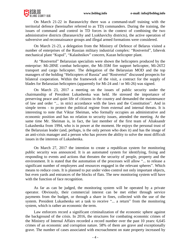

On March 21-22 in Baranavichy there was a command-staff training with the territorial defence (hereinafter referred to as TD) commanders. During the training, the issues of command and control in TD forces in the context of combining the two administrative districts (Baranavichy and Lyakhavichy districts), the active operation of subversive and reconnaissance groups and illegal armed formations were considered.

On March 21-23, a delegation from the Ministry of Defence of Belarus visited a number of enterprises of the Russian military industrial complex: "Rostvertol", Izhevsk mechanical plant "Kupol", "Kalashnikov" concern, Kazan helicopter plant.

At "Rostvertol" Belarusian specialists were shown the helicopters produced by the enterprise: Mi-28NE combat helicopter, the Mi-35M fire support helicopter, Mi-26T2 transport and cargo helicopter. The delegation of the Belarusian MOD and the top managers of the holding "Helicopters of Russia" and "Rostvertol" discussed prospects for bilateral cooperation. Within the framework of the visit, a contract for the supply of blades for Belarusian helicopters (apparently for Mi-24 and / or Mi-26) was signed.

On March 23, 2017 a meeting on the issues of public security under the chairmanship of President Lukashenka was held. He stressed the importance of preserving peace and quiet life of citizens in the country and demanded the maintenance of law and order "... in strict accordance with the laws and the Constitution". And in simple terms - to protect the political regime from external and internal threats. It is interesting to note that Viktar Sheiman, who formally occupies an administrative and economic position and has no relation to security issues, attended the meeting. At the same time Mr. Sheiman is, in fact, the last member of the first team of Aliaksandr Lukashenka from 1994, who is in power at the moment. He enjoys the personal trust of the Belarusian leader (and, perhaps, is the only person who does it) and has the image of an anti-crisis manager and a person who has proven the ability to solve the most difficult issues in the interests of Lukashenka.

On March 27, 2017 the intention to create a republican system for monitoring public security was announced. It is an automated system for identifying, fixing and responding to events and actions that threaten the security of people, property and the environment. It is stated that the automation of the processes will allow "... to release a significant number of employees and resources engaged in the relevant spheres". Which means to reduce costs. It is planned to put under video control not only important objects, but even yards and entrances of the blocks of flats. The new monitoring system will have with the function of face recognition.

As far as can be judged, the monitoring system will be operated by a private operator. Obviously, their commercial interest can be met either through service payments from the budget, or through a share in fines, collected with the use of the system. President Lukashenka set a task to receive "... a return" from the monitoring system, which is rather an economic the term.

Law enforcers record a significant criminalization of the economic sphere against the background of the crisis. In 2016, the structures for combating economic crimes of the Ministry of Internal Affairs recorded a record number over the past 10 years: 6,645 crimes of an economic and corruption nature. 58% of them are grave and exceptionally grave. The number of cases associated with encroachment on state property increased by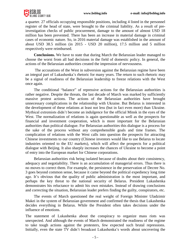

a quarter. 27 officials occupying responsible positions, including 4 listed in the personnel register of the head of state, were brought to the criminal liability. As a result of preinvestigation checks of public procurement, damage to the amount of almost USD 18 million has been prevented. There has been an increase in material damage in criminal cases of economic nature. So, in 2016 material damage was established in the amount of about USD 38.5 million (in 2015 - USD 20 million), 17.5 million and 5 million respectively were reimbursed.

**Conclusions.** We have to state that during March the Belarusian leader managed to choose the worst from all bad decisions in the field of domestic policy. In general, the actions of the Belarusian authorities created the impression of nervousness.

The accusations of the West in subversion against the Belarusian regime have been an integral part of Lukashenka's rhetoric for many years. The return to such rhetoric may be a signal of readiness of the Belarusian leadership to freeze relations with the West once again.

The conditional "balance" of repressive actions for the Belarusian authorities is rather negative. Despite the threats, the last decade of March was marked by sufficiently massive protest actions. The actions of the Belarusian authorities have brought unnecessary complications in the relationship with Ukraine. But Belarus is interested in the development of these relations at least not less (but in fact even more) than Ukraine. Mythical extremists didn't become an indulgence for the official Minsk in the eyes of the West. The normalization of relations is again questionable as well as the prospects for financial and investment cooperation, which is more important for the Belarusian authorities than political dialogue. For Belarusian authorities this dialogue is a process for the sake of the process without any comprehensible goals and time frames. The complication of relations with the West calls into question the prospects for attracting Chinese investments to our country (Chinese investors would like to use Belarus to locate industries oriented to the EU markets), which will affect the prospects for a political dialogue with Beijing. It also sharply increases the chances of Ukraine to become a point of entry into the European market for Chinese corporations.

Belarusian authorities risk being isolated because of doubts about their consistency, adequacy and negotiability. There is an accumulation of managerial errors. Thus there is no moves to correct them. For example, the persistence in the preservation of Decree No. 3 goes beyond common sense, because it came beyond the political expediency long time ago. It's obvious that the quality of public administration is the most important, and perhaps the key threat to the national security of Belarus. President Lukashenka demonstrates his reluctance to admit his own mistakes. Instead of drawing conclusions and correcting the situation, Belarusian leader prefers finding the guilty, conspirators, etc.

The events of March questioned the real weight of Foreign Minister Uladzimir Makei in the system of Belarusian government and confirmed the thesis that Lukashenka decides everything in Belarus. While the President often takes decisions under the influence of emotions.

The statement of Lukashenka about the conspiracy to organize mass riots was unexpected. And although the events of March demonstrated the readiness of the regime to take tough actions against the protesters, few expected such brutal repressions. Initially, even the state TV didn't broadcast Lukashenka's words about uncovering the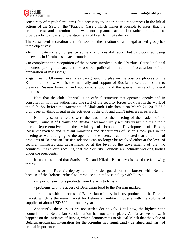

conspiracy of mythical militants. It's necessary to underline the randomness in the initial actions of the SSC on the "Patriots' Case", which makes it possible to assert that the criminal case and detention on it were not a planned action, but rather an attempt to provide a factual basis for the statements of President Lukashenka.

The subsequent accusation the "Patriots" of the creation of an illegal armed group has three objectives:

- to intimidate society not just by some kind of destabilization, but by bloodshed, using the events in Ukraine as a background;

- to complicate the recognition of the persons involved in the "Patriots' Cause" political prisoners (taking into account the obvious political motivation of accusations of the preparation of mass riots);

- again, using Ukrainian events as background, to play on the possible phobias of the Kremlin and show who is the main ally and support of Russia in Belarus in order to preserve Russian financial and economic support and the special nature of bilateral relations.

Note that the club "Patriot" is an official structure that operated openly and in consultation with the authorities. The staff of the security forces took part in the work of the club. So, before the statements of Aliaksandr Lukashenka on March 21, 2017 SSC didn't see anything illegal in the activities of the club and didn't interfere in its work.

Not only security issues were the reason for the meeting of the leaders of the Security Councils of Belarus and Russia. And most likely security wasn't the main topic there. Representatives of the Ministry of Economic Development of Russia, Rosselkhoznadzor and relevant ministries and departments of Belarus took part in the meeting as well. Judging by the agenda of the event, it can be stated that a number of problems of Belarusian-Russian relations can no longer be resolved either at the level of sectoral ministries and departments or at the level of the governments of the two countries. It is worth recalling that the Security Councils are actually working bodies under the presidents.

It can be assumed that Stanislau Zas and Nikolai Patrushev discussed the following topics:

- issues of Russia's deployment of border guards on the border with Belarus because of the Belarus' refusal to introduce a united visa policy with Russia;

- import of sanctions products from Belarus to Russia;

- problems with the access of Belarusian food to the Russian market;

- problems with the access of Belarusian military industry products to the Russian market, which is the main market for Belarusian military industry with the volume of supplies of about USD 500 million per year.

Apparently, these issues are not settled definitively. Until now, the highest state council of the Belarusian-Russian union has not taken place. As far as we know, it happens on the initiative of Russia, which demonstrates to official Minsk that the value of Belarusian-Russian integration for the Kremlin has significantly devalued and isn't of critical importance.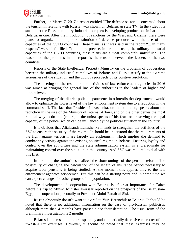

Further, on March 7, 2017 a report entitled "The defence sector is concerned about the tension in relations with Russia" was shown on Belarusian state TV. In the video it is stated that the Russian military-industrial complex is developing production similar to the Belarusian one. After the introduction of sanctions by the West and Ukraine, there were plans to organize the import substitution of defence products with the use of the capacities of the CSTO countries. These plans, as it was said in the report "... in many respects" weren't fulfilled. To be more precise, in terms of using the military industrial capacities of the CSTO countries, these plans are almost completely unfulfilled. The reason for the problems in the report is the tension between the leaders of the two countries.

Reports of the State Intellectual Property Ministry on the problems of cooperation between the military industrial complexes of Belarus and Russia testify to the extreme seriousness of the situation and the dubious prospects of its positive resolution.

The meeting on the results of the activities of law enforcement agencies in 2016 was aimed at bringing the general line of the authorities to the leaders of higher and middle level.

The merging of the district police departments into interdistrict departments would allow to optimize the lower level of the law enforcement system due to a reduction in the command staff. The fact that President Lukashenka, on the one hand, speaks about the reduction in the size of the Ministry of Internal Affairs, and on the other denies the most rational way to do this (enlarging the units) speaks of his fear for preserving the legal capacity of the police, which can be influenced by the political situation in the country.

It is obvious that Aliaksandr Lukashenka intends to strengthen the activities of the SSC to ensure the security of the regime. It should be understood that the requirements of the fight against terrorism are largely an euphemism, which implies the demand to combat any activity against the existing political regime in Belarus. Ensuring loyalty and control over the authorities and the state administration system is a prerequisite for maintaining control over the situation in the country. And SSC was required to deal with this first.

In addition, the authorities realized the shortcomings of the pension reform. The possibility of changing the calculation of the length of insurance period necessary to acquire labor pensions is being studied. At the moment this applies only to the law enforcement agencies servicemen. But this can be a starting point and in some time we can expect changes for other groups of the population.

The development of cooperation with Belarus is of great importance for Cairo: before his trip to Minsk, Minister al-Assar reported on the prospects of the Belarusian-Egyptian cooperation personally to President Abdul-Fattah al-Sisi.

Russia obviously doesn't want to extradite Yuri Baranchik to Belarus. It should be noted that there is no additional information on the case of pro-Russian publicists, although more than 4 months have passed since their detention. The usual term of the preliminary investigation is 2 months.

Belarus is interested in the transparency and emphatically defensive character of the "West-2017" exercises. However, it should be noted that these exercises may be